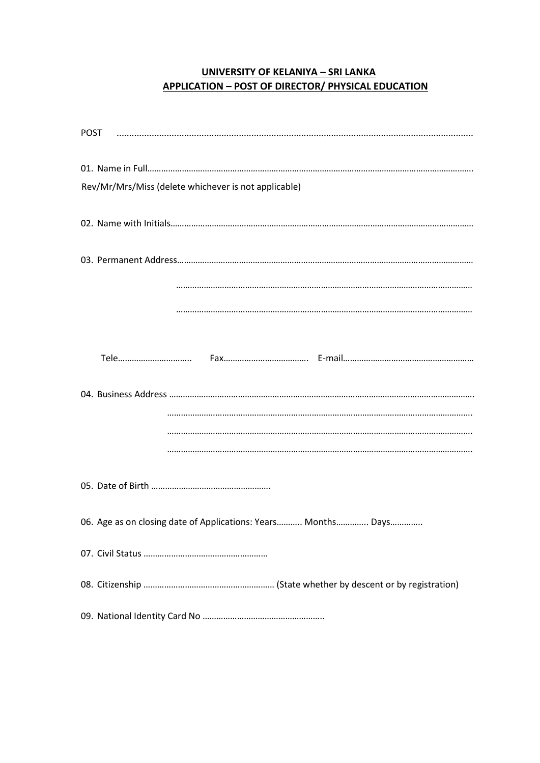# **UNIVERSITY OF KELANIYA – SRI LANKA APPLICATION – POST OF DIRECTOR/ PHYSICAL EDUCATION**

| Rev/Mr/Mrs/Miss (delete whichever is not applicable)          |
|---------------------------------------------------------------|
|                                                               |
|                                                               |
|                                                               |
|                                                               |
|                                                               |
|                                                               |
|                                                               |
|                                                               |
|                                                               |
|                                                               |
|                                                               |
| 06. Age as on closing date of Applications: Years Months Days |
|                                                               |
|                                                               |
|                                                               |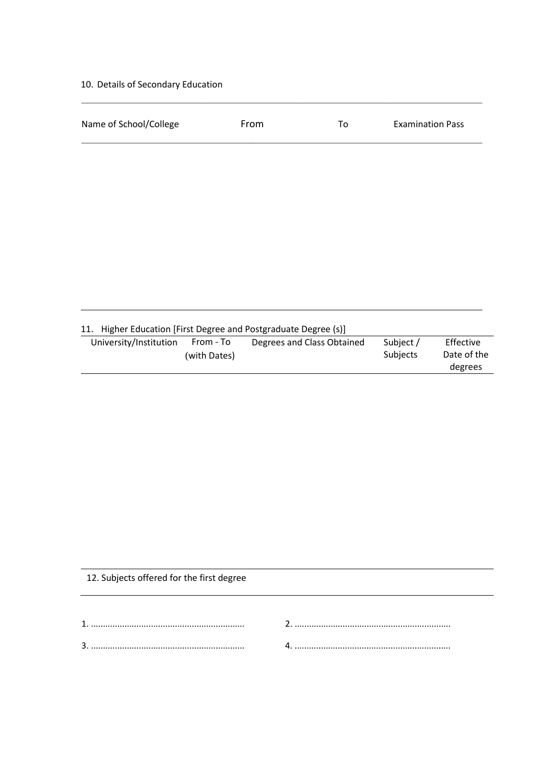## 10. Details of Secondary Education

| Name of School/College | From                                                        | To                         | <b>Examination Pass</b> |                                     |
|------------------------|-------------------------------------------------------------|----------------------------|-------------------------|-------------------------------------|
|                        |                                                             |                            |                         |                                     |
|                        |                                                             |                            |                         |                                     |
|                        |                                                             |                            |                         |                                     |
|                        |                                                             |                            |                         |                                     |
|                        |                                                             |                            |                         |                                     |
|                        |                                                             |                            |                         |                                     |
|                        |                                                             |                            |                         |                                     |
|                        |                                                             |                            |                         |                                     |
| 11.                    | Higher Education [First Degree and Postgraduate Degree (s)] |                            |                         |                                     |
| University/Institution | From - To<br>(with Dates)                                   | Degrees and Class Obtained | Subject /<br>Subjects   | Effective<br>Date of the<br>degrees |

12. Subjects offered for the first degree

| ⌒ |  |
|---|--|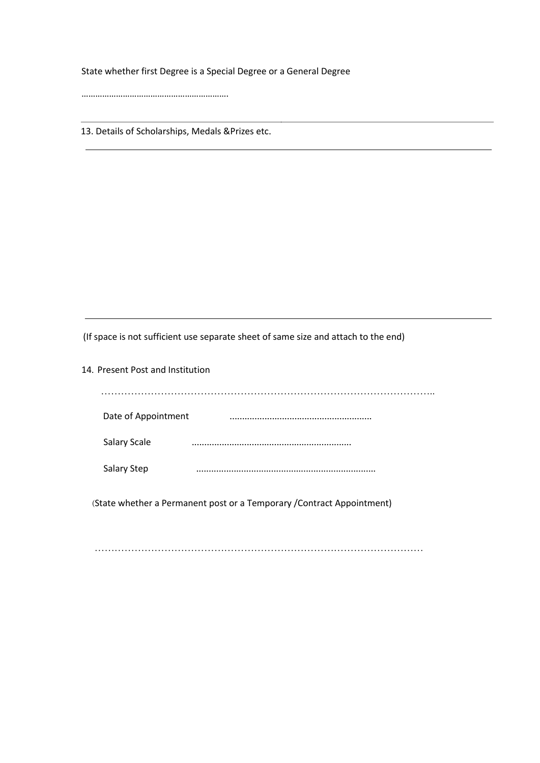State whether first Degree is a Special Degree or a General Degree

……………………………………………………….

13. Details of Scholarships, Medals &Prizes etc.

(If space is not sufficient use separate sheet of same size and attach to the end)

14. Present Post and Institution ……………………………………………………………………………………….. Date of Appointment ......................................................... Salary Scale ................................................................ Salary Step ........................................................................ ^State whether a Permanent post or a Temporary /Contract Appointment)

………………………………………………………………………………………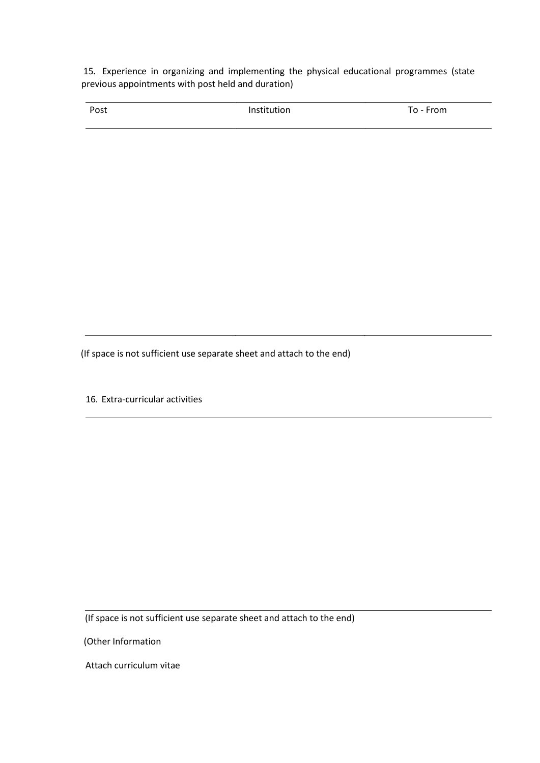15. Experience in organizing and implementing the physical educational programmes (state previous appointments with post held and duration)

| Post | Institution | To - From |  |
|------|-------------|-----------|--|
|      |             |           |  |

(If space is not sufficient use separate sheet and attach to the end)

16. Extra-curricular activities

(If space is not sufficient use separate sheet and attach to the end)

(Other Information

Attach curriculum vitae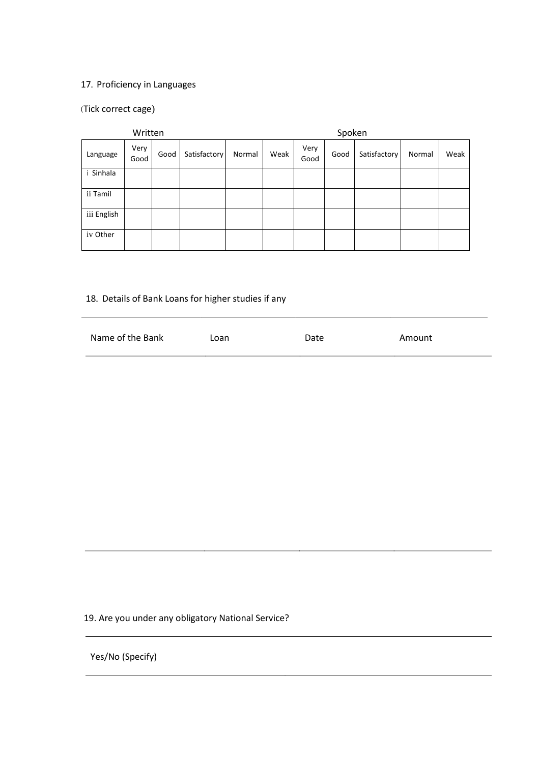#### 17. Proficiency in Languages

## ^Tick correct cage)

| Written     |              |      |              | Spoken |      |              |      |              |        |      |
|-------------|--------------|------|--------------|--------|------|--------------|------|--------------|--------|------|
| Language    | Very<br>Good | Good | Satisfactory | Normal | Weak | Very<br>Good | Good | Satisfactory | Normal | Weak |
| Sinhala     |              |      |              |        |      |              |      |              |        |      |
| ii Tamil    |              |      |              |        |      |              |      |              |        |      |
| iii English |              |      |              |        |      |              |      |              |        |      |
| iv Other    |              |      |              |        |      |              |      |              |        |      |

# 18. Details of Bank Loans for higher studies if any

| Name of the Bank | Loan | Date | Amount |
|------------------|------|------|--------|
|                  |      |      |        |

## 19. Are you under any obligatory National Service?

Yes/No (Specify)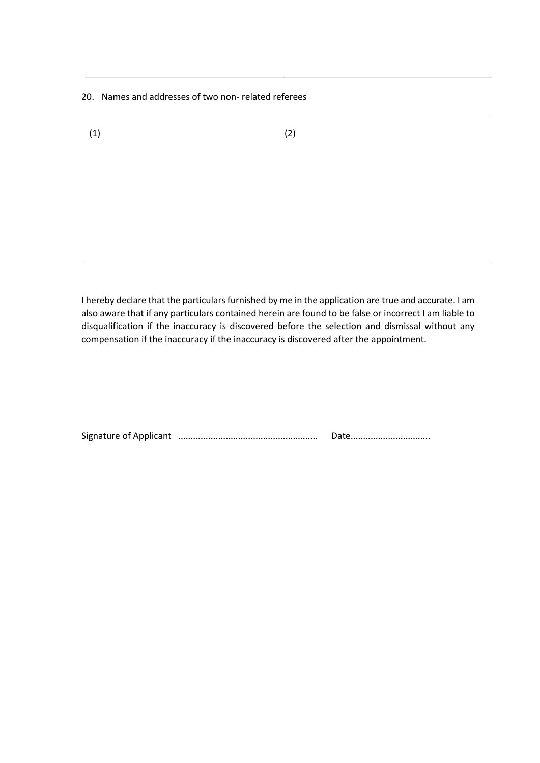20. Names and addresses of two non- related referees

 $(1)$  (2)

I hereby declare that the particulars furnished by me in the application are true and accurate. I am also aware that if any particulars contained herein are found to be false or incorrect I am liable to disqualification if the inaccuracy is discovered before the selection and dismissal without any compensation if the inaccuracy if the inaccuracy is discovered after the appointment.

Signature of Applicant ........................................................ Date................................